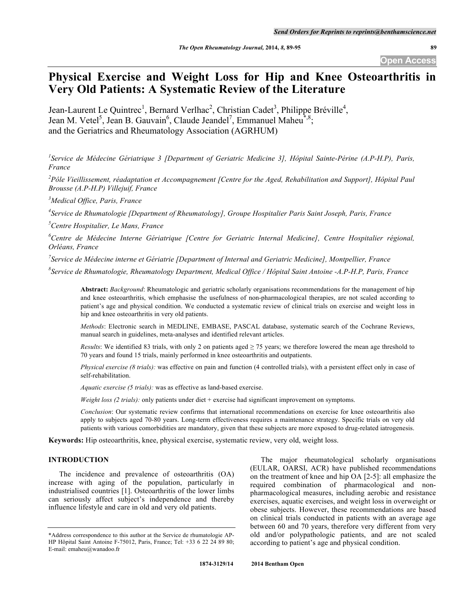# **Physical Exercise and Weight Loss for Hip and Knee Osteoarthritis in Very Old Patients: A Systematic Review of the Literature**

Jean-Laurent Le Quintrec<sup>1</sup>, Bernard Verlhac<sup>2</sup>, Christian Cadet<sup>3</sup>, Philippe Bréville<sup>4</sup>, Jean M. Vetel<sup>5</sup>, Jean B. Gauvain<sup>6</sup>, Claude Jeandel<sup>7</sup>, Emmanuel Maheu<sup>\*,8</sup>; and the Geriatrics and Rheumatology Association (AGRHUM)

*1 Service de Médecine Gériatrique 3 [Department of Geriatric Medicine 3], Hôpital Sainte-Périne (A.P-H.P), Paris, France*

*2 Pôle Vieillissement, réadaptation et Accompagnement [Centre for the Aged, Rehabilitation and Support], Hôpital Paul Brousse (A.P-H.P) Villejuif, France*

*3 Medical Office, Paris, France*

*4 Service de Rhumatologie [Department of Rheumatology], Groupe Hospitalier Paris Saint Joseph, Paris, France*

*5 Centre Hospitalier, Le Mans, France*

*6 Centre de Médecine Interne Gériatrique [Centre for Geriatric Internal Medicine], Centre Hospitalier régional, Orléans, France*

*7 Service de Médecine interne et Gériatrie [Department of Internal and Geriatric Medicine], Montpellier, France*

*8 Service de Rhumatologie, Rheumatology Department, Medical Office / Hôpital Saint Antoine -A.P-H.P, Paris, France*

**Abstract:** *Background*: Rheumatologic and geriatric scholarly organisations recommendations for the management of hip and knee osteoarthritis, which emphasise the usefulness of non-pharmacological therapies, are not scaled according to patient's age and physical condition. We conducted a systematic review of clinical trials on exercise and weight loss in hip and knee osteoarthritis in very old patients.

*Methods*: Electronic search in MEDLINE, EMBASE, PASCAL database, systematic search of the Cochrane Reviews, manual search in guidelines, meta-analyses and identified relevant articles.

*Results*: We identified 83 trials, with only 2 on patients aged  $\geq$  75 years; we therefore lowered the mean age threshold to 70 years and found 15 trials, mainly performed in knee osteoarthritis and outpatients.

*Physical exercise (8 trials):* was effective on pain and function (4 controlled trials), with a persistent effect only in case of self-rehabilitation.

*Aquatic exercise (5 trials):* was as effective as land-based exercise.

*Weight loss (2 trials):* only patients under diet + exercise had significant improvement on symptoms.

*Conclusion*: Our systematic review confirms that international recommendations on exercise for knee osteoarthritis also apply to subjects aged 70-80 years. Long-term effectiveness requires a maintenance strategy. Specific trials on very old patients with various comorbidities are mandatory, given that these subjects are more exposed to drug-related iatrogenesis.

**Keywords:** Hip osteoarthritis, knee, physical exercise, systematic review, very old, weight loss.

# **INTRODUCTION**

The incidence and prevalence of osteoarthritis (OA) increase with aging of the population, particularly in industrialised countries [1]. Osteoarthritis of the lower limbs can seriously affect subject's independence and thereby influence lifestyle and care in old and very old patients.

The major rheumatological scholarly organisations (EULAR, OARSI, ACR) have published recommendations on the treatment of knee and hip OA [2-5]: all emphasize the required combination of pharmacological and nonpharmacological measures, including aerobic and resistance exercises, aquatic exercises, and weight loss in overweight or obese subjects. However, these recommendations are based on clinical trials conducted in patients with an average age between 60 and 70 years, therefore very different from very old and/or polypathologic patients, and are not scaled according to patient's age and physical condition.

<sup>\*</sup>Address correspondence to this author at the Service de rhumatologie AP-HP Hôpital Saint Antoine F-75012, Paris, France; Tel: +33 6 22 24 89 80; E-mail: emaheu@wanadoo.fr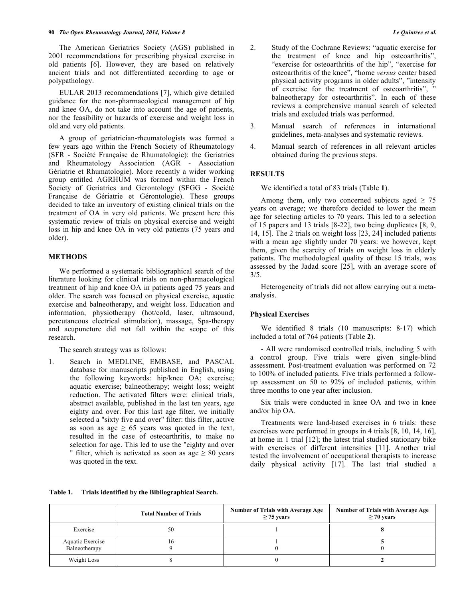The American Geriatrics Society (AGS) published in 2001 recommendations for prescribing physical exercise in old patients [6]. However, they are based on relatively ancient trials and not differentiated according to age or polypathology.

EULAR 2013 recommendations [7], which give detailed guidance for the non-pharmacological management of hip and knee OA, do not take into account the age of patients, nor the feasibility or hazards of exercise and weight loss in old and very old patients.

A group of geriatrician-rheumatologists was formed a few years ago within the French Society of Rheumatology (SFR - Société Française de Rhumatologie): the Geriatrics and Rheumatology Association (AGR - Association Gériatrie et Rhumatologie). More recently a wider working group entitled AGRHUM was formed within the French Society of Geriatrics and Gerontology (SFGG - Société Française de Gériatrie et Gérontologie). These groups decided to take an inventory of existing clinical trials on the treatment of OA in very old patients. We present here this systematic review of trials on physical exercise and weight loss in hip and knee OA in very old patients (75 years and older).

## **METHODS**

We performed a systematic bibliographical search of the literature looking for clinical trials on non-pharmacological treatment of hip and knee OA in patients aged 75 years and older. The search was focused on physical exercise, aquatic exercise and balneotherapy, and weight loss. Education and information, physiotherapy (hot/cold, laser, ultrasound, percutaneous electrical stimulation), massage, Spa-therapy and acupuncture did not fall within the scope of this research.

The search strategy was as follows:

1. Search in MEDLINE, EMBASE, and PASCAL database for manuscripts published in English, using the following keywords: hip/knee OA; exercise; aquatic exercise; balneotherapy; weight loss; weight reduction. The activated filters were: clinical trials, abstract available, published in the last ten years, age eighty and over. For this last age filter, we initially selected a "sixty five and over" filter: this filter, active as soon as age  $\geq 65$  years was quoted in the text, resulted in the case of osteoarthritis, to make no selection for age. This led to use the "eighty and over " filter, which is activated as soon as age  $\geq 80$  years was quoted in the text.

- 2. Study of the Cochrane Reviews: "aquatic exercise for the treatment of knee and hip osteoarthritis", "exercise for osteoarthritis of the hip", "exercise for osteoarthritis of the knee", "home *versus* center based physical activity programs in older adults", "intensity of exercise for the treatment of osteoarthritis", " balneotherapy for osteoarthritis". In each of these reviews a comprehensive manual search of selected trials and excluded trials was performed.
- 3. Manual search of references in international guidelines, meta-analyses and systematic reviews.
- 4. Manual search of references in all relevant articles obtained during the previous steps.

# **RESULTS**

We identified a total of 83 trials (Table **1**).

Among them, only two concerned subjects aged  $\geq$  75 years on average; we therefore decided to lower the mean age for selecting articles to 70 years. This led to a selection of 15 papers and 13 trials [8-22], two being duplicates [8, 9, 14, 15]. The 2 trials on weight loss [23, 24] included patients with a mean age slightly under 70 years: we however, kept them, given the scarcity of trials on weight loss in elderly patients. The methodological quality of these 15 trials, was assessed by the Jadad score [25], with an average score of 3/5.

Heterogeneity of trials did not allow carrying out a metaanalysis.

#### **Physical Exercises**

We identified 8 trials (10 manuscripts: 8-17) which included a total of 764 patients (Table **2**).

- All were randomised controlled trials, including 5 with a control group. Five trials were given single-blind assessment. Post-treatment evaluation was performed on 72 to 100% of included patients. Five trials performed a followup assessment on 50 to 92% of included patients, within three months to one year after inclusion.

Six trials were conducted in knee OA and two in knee and/or hip OA.

Treatments were land-based exercises in 6 trials: these exercises were performed in groups in 4 trials [8, 10, 14, 16], at home in 1 trial [12]; the latest trial studied stationary bike with exercises of different intensities [11]. Another trial tested the involvement of occupational therapists to increase daily physical activity [17]. The last trial studied a

**Table 1. Trials identified by the Bibliographical Search.**

|                                   | <b>Total Number of Trials</b> | Number of Trials with Average Age<br>$\geq$ 75 years | Number of Trials with Average Age<br>$\geq 70$ years |
|-----------------------------------|-------------------------------|------------------------------------------------------|------------------------------------------------------|
| Exercise                          | 50                            |                                                      |                                                      |
| Aquatic Exercise<br>Balneotherapy |                               |                                                      |                                                      |
| Weight Loss                       |                               |                                                      |                                                      |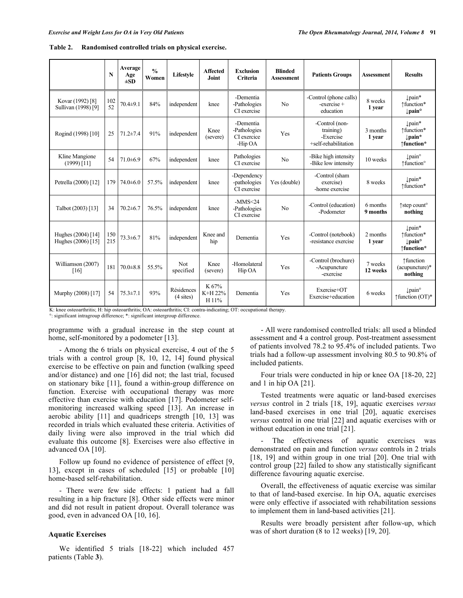|                                          | $\mathbf N$ | Average<br>Age<br>$\pm SD$ | $\frac{0}{0}$<br>Women | Lifestyle                         | <b>Affected</b><br><b>Joint</b> | <b>Exclusion</b><br>Criteria                        | <b>Blinded</b><br><b>Assessment</b> | <b>Patients Groups</b>                                           | <b>Assessment</b>    | <b>Results</b>                                                     |
|------------------------------------------|-------------|----------------------------|------------------------|-----------------------------------|---------------------------------|-----------------------------------------------------|-------------------------------------|------------------------------------------------------------------|----------------------|--------------------------------------------------------------------|
| Kovar (1992) [8]<br>Sullivan (1998) [9]  | 102<br>52   | $70.4 + 9.1$               | 84%                    | independent                       | knee                            | -Dementia<br>-Pathologies<br>CI exercise            | No                                  | -Control (phone calls)<br>-exercise +<br>education               | 8 weeks<br>1 year    | lpain*<br>↑function*<br>$\downarrow$ pain $^{\circ}$               |
| Rogind (1998) [10]                       | 25          | $71.2 \pm 7.4$             | 91%                    | independent                       | Knee<br>(severe)                | -Dementia<br>-Pathologies<br>CI exercice<br>-Hip OA | Yes                                 | -Control (non-<br>training)<br>-Exercise<br>+self-rehabilitation | 3 months<br>1 year   | pain*<br>1function*<br>pain*<br>↑function*                         |
| Kline Mangione<br>$(1999)$ [11]          | 54          | $71.0 \pm 6.9$             | 67%                    | independent                       | knee                            | Pathologies<br>CI exercise                          | N <sub>0</sub>                      | -Bike high intensity<br>-Bike low intensity                      | 10 weeks             | $\downarrow$ pain $\circ$<br>↑function®                            |
| Petrella (2000) [12]                     | 179         | $74.0 \pm 6.0$             | 57.5%                  | independent                       | knee                            | -Dependency<br>-pathologies<br>CI exercise          | Yes (double)                        | -Control (sham<br>exercise)<br>-home exercise                    | 8 weeks              | $\downarrow$ pain*<br>1function*                                   |
| Talbot (2003) [13]                       | 34          | $70.2 \pm 6.7$             | 76.5%                  | independent                       | knee                            | $-MMS < 24$<br>-Pathologies<br>CI exercise          | N <sub>0</sub>                      | -Control (education)<br>-Podometer                               | 6 months<br>9 months | ↑step count <sup>o</sup><br>nothing                                |
| Hughes (2004) [14]<br>Hughes (2006) [15] | 150<br>215  | $73.3 \pm 6.7$             | 81%                    | independent                       | Knee and<br>hip                 | Dementia                                            | Yes                                 | -Control (notebook)<br>-resistance exercise                      | 2 months<br>1 year   | Įpain*<br>1function*<br>$\downarrow$ pain $^{\circ}$<br>↑function* |
| Williamson (2007)<br>[16]                | 181         | $70.0 \pm 8.8$             | 55.5%                  | <b>Not</b><br>specified           | Knee<br>(severe)                | -Homolateral<br>Hip OA                              | Yes                                 | -Control (brochure)<br>-Acupuncture<br>-exercise                 | 7 weeks<br>12 weeks  | ↑function<br>(acupuncture)*<br>nothing                             |
| Murphy (2008) [17]                       | 54          | $75.3 \pm 7.1$             | 93%                    | Résidences<br>$(4 \text{ sites})$ | K 67%<br>K+H 22%<br>H 11%       | Dementia                                            | Yes                                 | Exercise+OT<br>Exercise+education                                | 6 weeks              | $\downarrow$ pain $\circ$<br>$\uparrow$ function (OT)*             |

**Table 2. Randomised controlled trials on physical exercise.**

K: knee osteoarthritis; H: hip osteoarthritis; OA: osteoarthritis; CI: contra-indicating; OT: occupational therapy.

°: significant intragroup difference; \*: significant intergroup difference.

programme with a gradual increase in the step count at home, self-monitored by a podometer [13].

- Among the 6 trials on physical exercise, 4 out of the 5 trials with a control group [8, 10, 12, 14] found physical exercise to be effective on pain and function (walking speed and/or distance) and one [16] did not; the last trial, focused on stationary bike [11], found a within-group difference on function. Exercise with occupational therapy was more effective than exercise with education [17]. Podometer selfmonitoring increased walking speed [13]. An increase in aerobic ability [11] and quadriceps strength [10, 13] was recorded in trials which evaluated these criteria. Activities of daily living were also improved in the trial which did evaluate this outcome [8]. Exercises were also effective in advanced OA [10].

Follow up found no evidence of persistence of effect [9, 13], except in cases of scheduled [15] or probable [10] home-based self-rehabilitation.

- There were few side effects: 1 patient had a fall resulting in a hip fracture [8]. Other side effects were minor and did not result in patient dropout. Overall tolerance was good, even in advanced OA [10, 16].

## **Aquatic Exercises**

We identified 5 trials [18-22] which included 457 patients (Table **3**).

- All were randomised controlled trials: all used a blinded assessment and 4 a control group. Post-treatment assessment of patients involved 78.2 to 95.4% of included patients. Two trials had a follow-up assessment involving 80.5 to 90.8% of included patients.

Four trials were conducted in hip or knee OA [18-20, 22] and 1 in hip OA [21].

Tested treatments were aquatic or land-based exercises *versus* control in 2 trials [18, 19], aquatic exercises *versus* land-based exercises in one trial [20], aquatic exercises *versus* control in one trial [22] and aquatic exercises with or without education in one trial [21].

- The effectiveness of aquatic exercises was demonstrated on pain and function *versus* controls in 2 trials [18, 19] and within group in one trial [20]. One trial with control group [22] failed to show any statistically significant difference favouring aquatic exercise.

Overall, the effectiveness of aquatic exercise was similar to that of land-based exercise. In hip OA, aquatic exercises were only effective if associated with rehabilitation sessions to implement them in land-based activities [21].

Results were broadly persistent after follow-up, which was of short duration (8 to 12 weeks) [19, 20].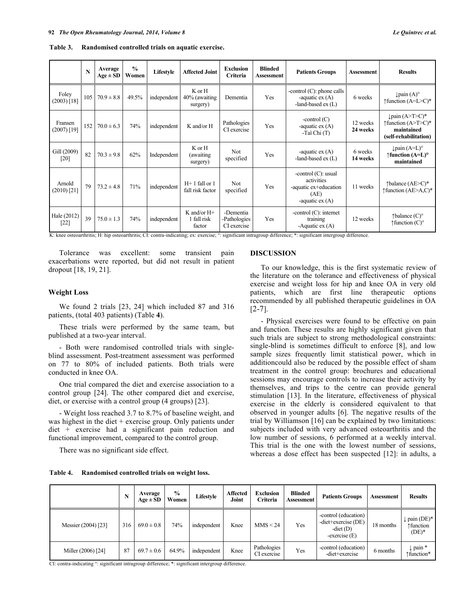|                          | N   | Average<br>$Age \pm SD$ | $\frac{0}{0}$<br>Women | Lifestyle   | <b>Affected Joint</b>                    | <b>Exclusion</b><br><b>Criteria</b>      | <b>Blinded</b><br><b>Assessment</b> | <b>Patients Groups</b>                                                                    | <b>Assessment</b>    | <b>Results</b>                                                                                      |  |
|--------------------------|-----|-------------------------|------------------------|-------------|------------------------------------------|------------------------------------------|-------------------------------------|-------------------------------------------------------------------------------------------|----------------------|-----------------------------------------------------------------------------------------------------|--|
| Foley<br>(2003) [18]     | 105 | $70.9 \pm 8.8$          | 49.5%                  | independent | K or H<br>40% (awaiting<br>surgery)      | Dementia                                 | Yes                                 | -control $(C)$ : phone calls<br>-aquatic $ex(A)$<br>-land-based $ex(L)$                   | 6 weeks              | $\downarrow$ pain $(A)^\circ$<br>$\uparrow$ function (A=L>C)*                                       |  |
| Fransen<br>$(2007)$ [19] | 152 | $70.0 \pm 6.3$          | 74%                    | independent | K and/or H                               | Pathologies<br>CI exercise               | Yes                                 | -control $(C)$<br>-aquatic $ex(A)$<br>-Taï Chi (T)                                        | 12 weeks<br>24 weeks | $\downarrow$ pain (A>T>C)*<br>$\uparrow$ function $(A>T>C)*$<br>maintained<br>(self-rehabilitation) |  |
| Gill (2009)<br>[20]      | 82  | $70.3 \pm 9.8$          | 62%                    | Independent | K or H<br>(awaiting)<br>surgery)         | Not<br>specified                         | Yes                                 | -aquatic $ex(A)$<br>-land-based $ex(L)$                                                   | 6 weeks<br>14 weeks  | $\downarrow$ pain $(A=L)^\circ$<br>$\uparrow$ function (A=L) $\circ$<br>maintained                  |  |
| Arnold<br>$(2010)$ [21]  | 79  | $73.2 \pm 4.8$          | 71%                    | independent | $H+1$ fall or 1<br>fall risk factor      | <b>Not</b><br>specified                  | Yes                                 | -control $(C)$ : usual<br>activities<br>-aquatic ex+education<br>(AE)<br>-aquatic $ex(A)$ | 11 weeks             | $\uparrow$ balance (AE>C)*<br>$\uparrow$ function (AE>A,C)*                                         |  |
| Hale (2012)<br>$[22]$    | 39  | $75.0 \pm 1.3$          | 74%                    | independent | $K$ and/or $H+$<br>1 fall risk<br>factor | -Dementia<br>-Pathologies<br>CI exercise | Yes                                 | -control $(C)$ : internet<br>training<br>-Aquatic $ex(A)$                                 | 12 weeks             | $\uparrow$ balance (C) $\circ$<br>$\uparrow$ function $(C)^\circ$                                   |  |

**Table 3. Randomised controlled trials on aquatic exercise.**

K: knee osteoarthritis; H: hip osteoarthritis; CI: contra-indicating; ex: exercise; °: significant intragroup difference; \*: significant intergroup difference.

Tolerance was excellent: some transient pain exacerbations were reported, but did not result in patient dropout [18, 19, 21].

#### **Weight Loss**

We found 2 trials [23, 24] which included 87 and 316 patients, (total 403 patients) (Table **4**).

These trials were performed by the same team, but published at a two-year interval.

- Both were randomised controlled trials with singleblind assessment. Post-treatment assessment was performed on 77 to 80% of included patients. Both trials were conducted in knee OA.

One trial compared the diet and exercise association to a control group [24]. The other compared diet and exercise, diet, or exercise with a control group (4 groups) [23].

- Weight loss reached 3.7 to 8.7% of baseline weight, and was highest in the diet + exercise group. Only patients under diet + exercise had a significant pain reduction and functional improvement, compared to the control group.

There was no significant side effect.

**Table 4. Randomised controlled trials on weight loss.**

# **DISCUSSION**

To our knowledge, this is the first systematic review of the literature on the tolerance and effectiveness of physical exercise and weight loss for hip and knee OA in very old patients, which are first line therapeutic options recommended by all published therapeutic guidelines in OA  $[2-7]$ .

- Physical exercises were found to be effective on pain and function. These results are highly significant given that such trials are subject to strong methodological constraints: single-blind is sometimes difficult to enforce [8], and low sample sizes frequently limit statistical power, which in additioncould also be reduced by the possible effect of sham treatment in the control group: brochures and educational sessions may encourage controls to increase their activity by themselves, and trips to the centre can provide general stimulation [13]. In the literature, effectiveness of physical exercise in the elderly is considered equivalent to that observed in younger adults [6]. The negative results of the trial by Williamson [16] can be explained by two limitations: subjects included with very advanced osteoarthritis and the low number of sessions, 6 performed at a weekly interval. This trial is the one with the lowest number of sessions, whereas a dose effect has been suspected [12]: in adults, a

|                     |     | Average<br>$Age \pm SD$ | $\frac{6}{9}$<br>Women | Lifestyle   | <b>Affected</b><br>Joint | <b>Exclusion</b><br>Criteria | <b>Blinded</b><br>Assessment | <b>Patients Groups</b>                                                           | Assessment | <b>Results</b>                        |
|---------------------|-----|-------------------------|------------------------|-------------|--------------------------|------------------------------|------------------------------|----------------------------------------------------------------------------------|------------|---------------------------------------|
| Messier (2004) [23] | 316 | $69.0 \pm 0.8$          | 74%                    | independent | Knee                     | MMS < 24                     | Yes                          | -control (education)<br>$-diet$ + exercise (DE)<br>-diet $(D)$<br>$-exercise(E)$ | 18 months  | pain $(DE)^*$<br>↑function<br>$(DE)*$ |
| Miller (2006) [24]  | 87  | $69.7 \pm 0.6$          | 64.9%                  | independent | Knee                     | Pathologies<br>CI exercise   | Yes                          | -control (education)<br>-diet+exercise                                           | 6 months   | $\downarrow$ pain *<br>↑function*     |

CI: contra-indicating °: significant intragroup difference; \*: significant intergroup difference.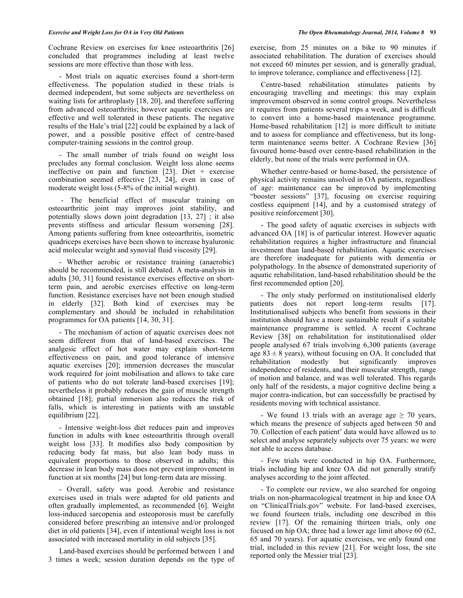Cochrane Review on exercises for knee osteoarthritis [26] concluded that programmes including at least twelve sessions are more effective than those with less.

- Most trials on aquatic exercises found a short-term effectiveness. The population studied in these trials is deemed independent, but some subjects are nevertheless on waiting lists for arthroplasty [18, 20], and therefore suffering from advanced osteoarthritis; however aquatic exercises are effective and well tolerated in these patients. The negative results of the Hale's trial [22] could be explained by a lack of power, and a possible positive effect of centre-based computer-training sessions in the control group.

- The small number of trials found on weight loss precludes any formal conclusion. Weight loss alone seems ineffective on pain and function  $[23]$ . Diet + exercise combination seemed effective [23, 24], even in case of moderate weight loss (5-8% of the initial weight).

- The beneficial effect of muscular training on osteoarthritic joint may improves joint stability, and potentially slows down joint degradation [13, 27] ; it also prevents stiffness and articular flessum worsening [28]. Among patients suffering from knee osteoarthritis, isometric quadriceps exercises have been shown to increase hyaluronic acid molecular weight and synovial fluid viscosity [29].

- Whether aerobic or resistance training (anaerobic) should be recommended, is still debated. A meta-analysis in adults [30, 31] found resistance exercises effective on shortterm pain, and aerobic exercises effective on long-term function. Resistance exercises have not been enough studied in elderly [32]. Both kind of exercises may be complementary and should be included in rehabilitation programmes for OA patients [14, 30, 31].

- The mechanism of action of aquatic exercises does not seem different from that of land-based exercises. The analgesic effect of hot water may explain short-term effectiveness on pain, and good tolerance of intensive aquatic exercises [20]; immersion decreases the muscular work required for joint mobilisation and allows to take care of patients who do not tolerate land-based exercises [19]; nevertheless it probably reduces the gain of muscle strength obtained [18]; partial immersion also reduces the risk of falls, which is interesting in patients with an unstable equilibrium [22].

- Intensive weight-loss diet reduces pain and improves function in adults with knee osteoarthritis through overall weight loss [33]. It modifies also body composition by reducing body fat mass, but also lean body mass in equivalent proportions to those observed in adults; this decrease in lean body mass does not prevent improvement in function at six months [24] but long-term data are missing.

- Overall, safety was good. Aerobic and resistance exercises used in trials were adapted for old patients and often gradually implemented, as recommended [6]. Weight loss-induced sarcopenia and osteoporosis must be carefully considered before prescribing an intensive and/or prolonged diet in old patients [34], even if intentional weight loss is not associated with increased mortality in old subjects [35].

Land-based exercises should be performed between 1 and 3 times a week; session duration depends on the type of exercise, from 25 minutes on a bike to 90 minutes if associated rehabilitation. The duration of exercises should not exceed 60 minutes per session, and is generally gradual, to improve tolerance, compliance and effectiveness [12].

Centre-based rehabilitation stimulates patients by encouraging travelling and meetings: this may explain improvement observed in some control groups. Nevertheless it requires from patients several trips a week, and is difficult to convert into a home-based maintenance programme. Home-based rehabilitation [12] is more difficult to initiate and to assess for compliance and effectiveness, but its longterm maintenance seems better. A Cochrane Review [36] favoured home-based over centre-based rehabilitation in the elderly, but none of the trials were performed in OA.

Whether centre-based or home-based, the persistence of physical activity remains unsolved in OA patients, regardless of age: maintenance can be improved by implementing "booster sessions" [37], focusing on exercise requiring costless equipment [14], and by a customised strategy of positive reinforcement [30].

- The good safety of aquatic exercises in subjects with advanced OA [18] is of particular interest. However aquatic rehabilitation requires a higher infrastructure and financial investment than land-based rehabilitation. Aquatic exercises are therefore inadequate for patients with dementia or polypathology. In the absence of demonstrated superiority of aquatic rehabilitation, land-based rehabilitation should be the first recommended option [20].

- The only study performed on institutionalised elderly patients does not report long-term results [17]. Institutionalised subjects who benefit from sessions in their institution should have a more sustainable result if a suitable maintenance programme is settled. A recent Cochrane Review [38] on rehabilitation for institutionalised older people analysed 67 trials involving 6,300 patients (average age  $83 \pm 8$  years), without focusing on OA. It concluded that rehabilitation modestly but significantly improves independence of residents, and their muscular strength, range of motion and balance, and was well tolerated. This regards only half of the residents, a major cognitive decline being a major contra-indication, but can successfully be practised by residents moving with technical assistance.

- We found 13 trials with an average age  $\geq$  70 years, which means the presence of subjects aged between 50 and 70. Collection of each patient' data would have allowed us to select and analyse separately subjects over 75 years: we were not able to access database.

- Few trials were conducted in hip OA. Furthermore, trials including hip and knee OA did not generally stratify analyses according to the joint affected.

- To complete our review, we also searched for ongoing trials on non-pharmacological treatment in hip and knee OA on "ClinicalTrials.gov" website. For land-based exercises, we found fourteen trials, including one described in this review [17]. Of the remaining thirteen trials, only one focused on hip OA; three had a lower age limit above 60 (62, 65 and 70 years). For aquatic exercises, we only found one trial, included in this review [21]. For weight loss, the site reported only the Messier trial [23].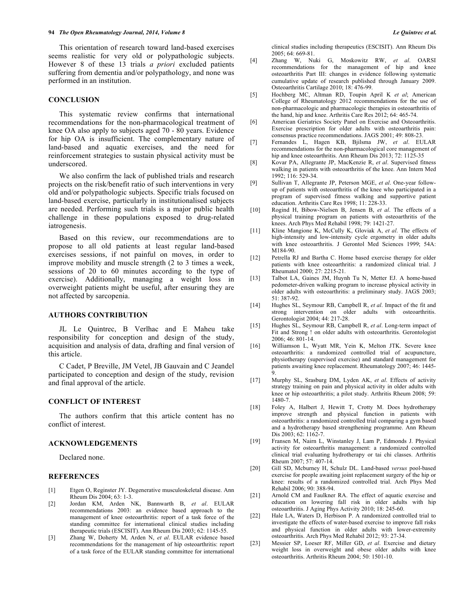This orientation of research toward land-based exercises seems realistic for very old or polypathologic subjects. However 8 of these 13 trials *a priori* excluded patients suffering from dementia and/or polypathology, and none was performed in an institution.

## **CONCLUSION**

This systematic review confirms that international recommendations for the non-pharmacological treatment of knee OA also apply to subjects aged 70 - 80 years. Evidence for hip OA is insufficient. The complementary nature of land-based and aquatic exercises, and the need for reinforcement strategies to sustain physical activity must be underscored.

We also confirm the lack of published trials and research projects on the risk/benefit ratio of such interventions in very old and/or polypathologic subjects. Specific trials focused on land-based exercise, particularly in institutionalised subjects are needed. Performing such trials is a major public health challenge in these populations exposed to drug-related iatrogenesis.

Based on this review, our recommendations are to propose to all old patients at least regular land-based exercises sessions, if not painful on moves, in order to improve mobility and muscle strength (2 to 3 times a week, sessions of 20 to 60 minutes according to the type of exercise). Additionally, managing a weight loss in overweight patients might be useful, after ensuring they are not affected by sarcopenia.

## **AUTHORS CONTRIBUTION**

JL Le Quintrec, B Verlhac and E Maheu take responsibility for conception and design of the study, acquisition and analysis of data, drafting and final version of this article.

C Cadet, P Breville, JM Vetel, JB Gauvain and C Jeandel participated to conception and design of the study, revision and final approval of the article.

## **CONFLICT OF INTEREST**

The authors confirm that this article content has no conflict of interest.

#### **ACKNOWLEDGEMENTS**

Declared none.

## **REFERENCES**

- [1] Etgen O, Reginster JY. Degenerative musculoskeletal disease. Ann Rheum Dis 2004; 63: 1-3.
- [2] Jordan KM, Arden NK, Bannwarth B, *et al*. EULAR recommendations 2003: an evidence based approach to the management of knee osteoarthritis: report of a task force of the standing committee for international clinical studies including therapeutic trials (ESCISIT). Ann Rheum Dis 2003; 62: 1145-55.
- [3] Zhang W, Doherty M, Arden N, *et al*. EULAR evidence based recommendations for the management of hip osteoarthritis: report of a task force of the EULAR standing committee for international

clinical studies including therapeutics (ESCISIT). Ann Rheum Dis 2005; 64: 669-81.

- [4] Zhang W, Nuki G, Moskowitz RW, *et al*. OARSI recommendations for the management of hip and knee osteoarthritis Part III: changes in evidence following systematic cumulative update of research published through January 2009. Osteoarthritis Cartilage 2010; 18: 476-99.
- [5] Hochberg MC, Altman RD, Toupin April K *et al*; American College of Rheumatology 2012 recommendations for the use of non-pharmacologic and pharmacologic therapies in osteoarthritis of the hand, hip and knee. Arthritis Care Res 2012; 64: 465-74.
- [6] American Geriatrics Society Panel on Exercise and Osteoarthritis. Exercise prescription for older adults with osteoarthritis pain: consensus practice recommendations. JAGS 2001; 49: 808-23.
- [7] Fernandes L, Hagen KB, Bjilsma JW, *et al*. EULAR recommendations for the non-pharmacological core management of hip and knee osteoarthritis. Ann Rheum Dis 2013; 72: 1125-35
- [8] Kovar PA, Allegrante JP, MacKenzie R, *et al*. Supervised fitness walking in patients with osteoarthritis of the knee. Ann Intern Med 1992; 116: 529-34.
- [9] Sullivan T, Allegrante JP, Peterson MGE, *et al*. One-year followup of patients with osteoarthritis of the knee who participated in a program of supervised fitness walking and supportive patient education. Arthritis Care Res 1998; 11: 228-33.
- [10] Rogind H, Bibow-Nielsen B, Jensen B, *et al*. The effects of a physical training program on patients with osteoarthritis of the knees. Arch Phys Med Rehabil 1998; 79: 1421-27.
- [11] Kline Mangione K, McCully K, Gloviak A, *et al*. The effects of high-intensity and low-intensity cycle ergometry in older adults with knee osteoarthritis. J Gerontol Med Sciences 1999; 54A: M184-90.
- [12] Petrella RJ and Bartha C. Home based exercise therapy for older patients with knee osteoarthritis: a randomized clinical trial. J Rheumatol 2000; 27: 2215-21.
- [13] Talbot LA, Gaines JM, Huynh Tu N, Metter EJ. A home-based pedometer-driven walking program to increase physical activity in older adults with osteoarthritis: a preliminary study. JAGS 2003; 51: 387-92.
- [14] Hughes SL, Seymour RB, Campbell R, *et al*. Impact of the fit and strong intervention on older adults with osteoarthritis. Gerontologist 2004; 44: 217-28.
- [15] Hughes SL, Seymour RB, Campbell R, *et al*. Long-term impact of Fit and Strong ! on older adults with osteoarthritis. Gerontologist 2006; 46: 801-14.
- [16] Williamson L, Wyatt MR, Yein K, Melton JTK. Severe knee osteoarthritis: a randomized controlled trial of acupuncture, physiotherapy (supervised exercise) and standard management for patients awaiting knee replacement. Rheumatology 2007; 46: 1445- 9.
- [17] Murphy SL, Srasburg DM, Lyden AK, *et al*. Effects of activity strategy training on pain and physical activity in older adults with knee or hip osteoarthritis; a pilot study. Arthritis Rheum 2008; 59: 1480-7.
- [18] Foley A, Halbert J, Hewitt T, Crotty M. Does hydrotherapy improve strength and physical function in patients with osteoarthritis: a randomized controlled trial comparing a gym based and a hydrotherapy based strengthening programme. Ann Rheum Dis 2003; 62: 1162-7.
- [19] Fransen M, Nairn L, Winstanley J, Lam P, Edmonds J. Physical activity for osteoarthritis management: a randomized controlled clinical trial evaluating hydrotherapy or tai chi classes. Arthritis Rheum 2007; 57: 407-14.
- [20] Gill SD, Mcburney H, Schulz DL. Land-based *versus* pool-based exercise for people awaiting joint replacement surgery of the hip or knee: results of a randomized controlled trial. Arch Phys Med Rehabil 2006; 90: 388-94.
- [21] Arnold CM and Faulkner RA. The effect of aquatic exercise and education on lowering fall risk in older adults with hip osteoarthritis. J Aging Phys Activity 2010; 18: 245-60.
- [22] Hale LA, Waters D, Herbison P. A randomized controlled trial to investigate the effects of water-based exercise to improve fall risks and physical function in older adults with lower-extremity osteoarthritis. Arch Phys Med Rehabil 2012; 93: 27-34.
- [23] Messier SP, Loeser RF, Miller GD, *et al*. Exercise and dietary weight loss in overweight and obese older adults with knee osteoarthritis. Arthritis Rheum 2004; 50: 1501-10.